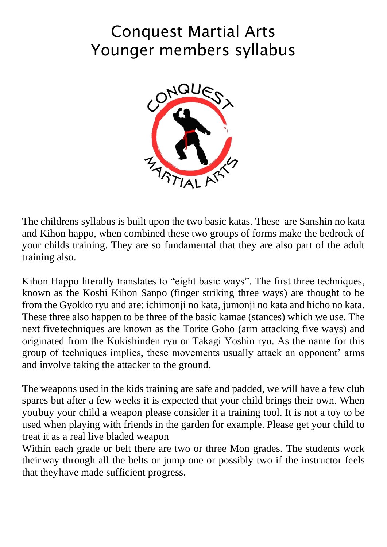# Conquest Martial Arts Younger members syllabus



The childrens syllabus is built upon the two basic katas. These are Sanshin no kata and Kihon happo, when combined these two groups of forms make the bedrock of your childs training. They are so fundamental that they are also part of the adult training also.

Kihon Happo literally translates to "eight basic ways". The first three techniques, known as the Koshi Kihon Sanpo (finger striking three ways) are thought to be from the Gyokko ryu and are: ichimonji no kata, jumonji no kata and hicho no kata. These three also happen to be three of the basic kamae (stances) which we use. The next fivetechniques are known as the Torite Goho (arm attacking five ways) and originated from the Kukishinden ryu or Takagi Yoshin ryu. As the name for this group of techniques implies, these movements usually attack an opponent' arms and involve taking the attacker to the ground.

The weapons used in the kids training are safe and padded, we will have a few club spares but after a few weeks it is expected that your child brings their own. When youbuy your child a weapon please consider it a training tool. It is not a toy to be used when playing with friends in the garden for example. Please get your child to treat it as a real live bladed weapon

Within each grade or belt there are two or three Mon grades. The students work theirway through all the belts or jump one or possibly two if the instructor feels that theyhave made sufficient progress.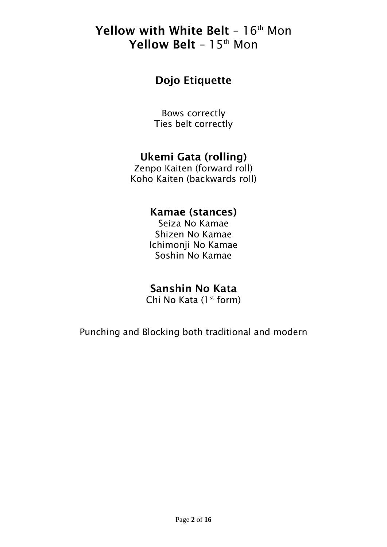## Yellow with White Belt -  $16<sup>th</sup>$  Mon Yellow Belt - 15<sup>th</sup> Mon

## Dojo Etiquette

Bows correctly Ties belt correctly

### Ukemi Gata (rolling)

Zenpo Kaiten (forward roll) Koho Kaiten (backwards roll)

### Kamae (stances)

Seiza No Kamae Shizen No Kamae Ichimonji No Kamae Soshin No Kamae

### Sanshin No Kata

Chi No Kata  $(1<sup>st</sup>$  form)

Punching and Blocking both traditional and modern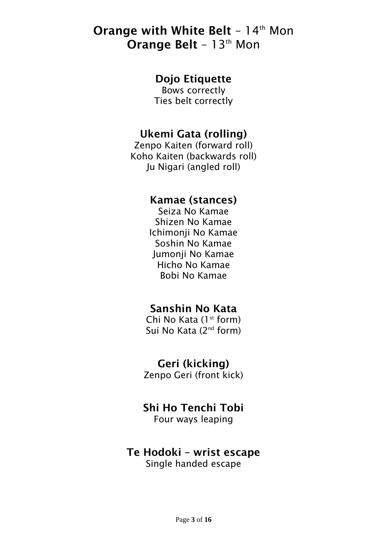## Orange with White Belt - 14th Mon **Orange Belt - 13th Mon**

### Dojo Etiquette

Bows correctly Ties belt correctly

### Ukemi Gata (rolling)

Zenpo Kaiten (forward roll) Koho Kaiten (backwards roll) Ju Nigari (angled roll)

#### Kamae (stances)

Seiza No Kamae Shizen No Kamae Ichimonji No Kamae Soshin No Kamae Jumonji No Kamae Hicho No Kamae Bobi No Kamae

### Sanshin No Kata

Chi No Kata  $(1<sup>st</sup>$  form) Sui No Kata (2<sup>nd</sup> form)

### Geri (kicking)

Zenpo Geri (front kick)

### Shi Ho Tenchi Tobi

Four ways leaping

## Te Hodoki – wrist escape

Single handed escape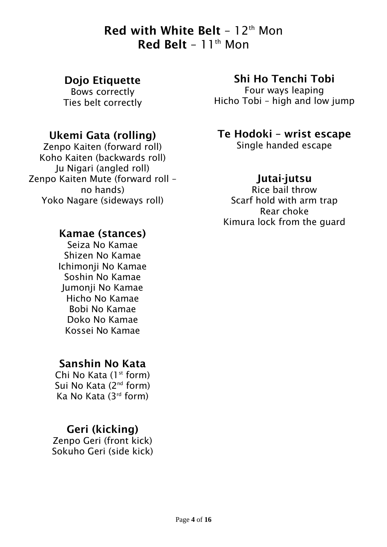## Red with White Belt –  $12<sup>th</sup>$  Mon Red Belt -  $11<sup>th</sup>$  Mon

#### Dojo Etiquette

Bows correctly Ties belt correctly

### Ukemi Gata (rolling)

Zenpo Kaiten (forward roll) Koho Kaiten (backwards roll) Ju Nigari (angled roll) Zenpo Kaiten Mute (forward roll – no hands) Yoko Nagare (sideways roll)

#### Kamae (stances)

Seiza No Kamae Shizen No Kamae Ichimonji No Kamae Soshin No Kamae Jumonji No Kamae Hicho No Kamae Bobi No Kamae Doko No Kamae Kossei No Kamae

### Sanshin No Kata

Chi No Kata  $(1<sup>st</sup>$  form) Sui No Kata (2<sup>nd</sup> form) Ka No Kata (3rd form)

### Geri (kicking)

Zenpo Geri (front kick) Sokuho Geri (side kick)

### Shi Ho Tenchi Tobi

Four ways leaping Hicho Tobi – high and low jump

### Te Hodoki – wrist escape

Single handed escape

### Jutai-jutsu

Rice bail throw Scarf hold with arm trap Rear choke Kimura lock from the guard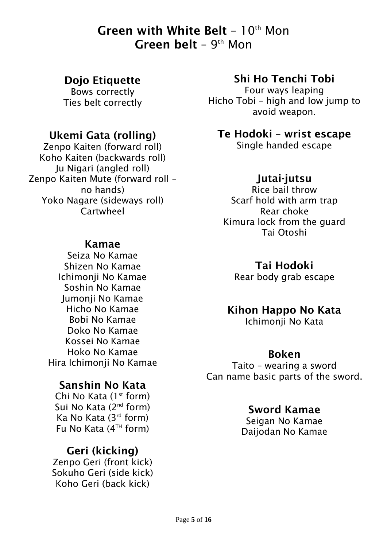## Green with White Belt –  $10<sup>th</sup>$  Mon **Green belt** -  $9<sup>th</sup>$  Mon

#### Dojo Etiquette

Bows correctly Ties belt correctly

### Ukemi Gata (rolling)

Zenpo Kaiten (forward roll) Koho Kaiten (backwards roll) Ju Nigari (angled roll) Zenpo Kaiten Mute (forward roll – no hands) Yoko Nagare (sideways roll) **Cartwheel** 

#### Kamae

Seiza No Kamae Shizen No Kamae Ichimonji No Kamae Soshin No Kamae Jumonji No Kamae Hicho No Kamae Bobi No Kamae Doko No Kamae Kossei No Kamae Hoko No Kamae Hira Ichimonji No Kamae

### Sanshin No Kata

Chi No Kata  $(1<sup>st</sup>$  form) Sui No Kata (2<sup>nd</sup> form) Ka No Kata (3rd form) Fu No Kata  $(4^{TH}$  form)

### Geri (kicking)

Zenpo Geri (front kick) Sokuho Geri (side kick) Koho Geri (back kick)

## Shi Ho Tenchi Tobi

Four ways leaping Hicho Tobi – high and low jump to avoid weapon.

Te Hodoki – wrist escape

Single handed escape

### Jutai-jutsu

Rice bail throw Scarf hold with arm trap Rear choke Kimura lock from the guard Tai Otoshi

### Tai Hodoki

Rear body grab escape

#### Kihon Happo No Kata

Ichimonji No Kata

#### Boken

Taito – wearing a sword Can name basic parts of the sword.

### Sword Kamae

Seigan No Kamae Daijodan No Kamae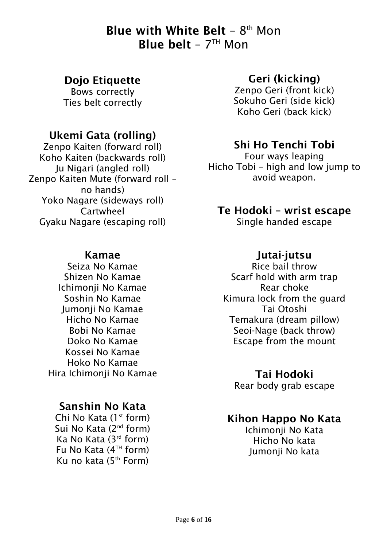## **Blue with White Belt -**  $8<sup>th</sup>$  **Mon Blue belt** –  $7<sup>TH</sup>$  Mon

#### Dojo Etiquette

Bows correctly Ties belt correctly

### Ukemi Gata (rolling)

Zenpo Kaiten (forward roll) Koho Kaiten (backwards roll) Ju Nigari (angled roll) Zenpo Kaiten Mute (forward roll – no hands) Yoko Nagare (sideways roll) Cartwheel Gyaku Nagare (escaping roll)

#### Kamae

Seiza No Kamae Shizen No Kamae Ichimonji No Kamae Soshin No Kamae Jumonji No Kamae Hicho No Kamae Bobi No Kamae Doko No Kamae Kossei No Kamae Hoko No Kamae Hira Ichimonji No Kamae

### Sanshin No Kata

Chi No Kata  $(1<sup>st</sup>$  form) Sui No Kata (2<sup>nd</sup> form) Ka No Kata (3rd form) Fu No Kata  $(4^{TH}$  form) Ku no kata  $(5<sup>th</sup> Form)$ 

#### Geri (kicking)

Zenpo Geri (front kick) Sokuho Geri (side kick) Koho Geri (back kick)

### Shi Ho Tenchi Tobi

Four ways leaping Hicho Tobi – high and low jump to avoid weapon.

## Te Hodoki – wrist escape

Single handed escape

#### Jutai-jutsu

Rice bail throw Scarf hold with arm trap Rear choke Kimura lock from the guard Tai Otoshi Temakura (dream pillow) Seoi-Nage (back throw) Escape from the mount

#### Tai Hodoki

Rear body grab escape

#### Kihon Happo No Kata

Ichimonji No Kata Hicho No kata Jumonji No kata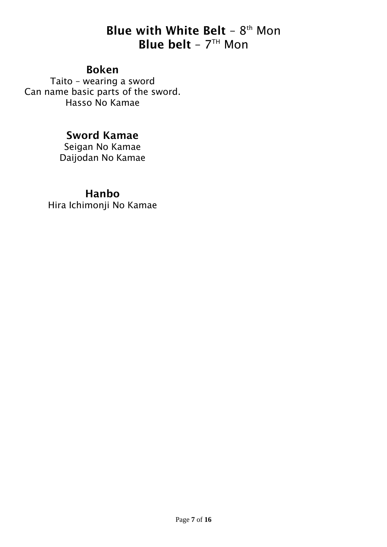## **Blue with White Belt -**  $8<sup>th</sup>$  **Mon Blue belt** –  $7<sup>TH</sup>$  Mon

#### Boken

Taito – wearing a sword Can name basic parts of the sword. Hasso No Kamae

### Sword Kamae

Seigan No Kamae Daijodan No Kamae

#### Hanbo

Hira Ichimonji No Kamae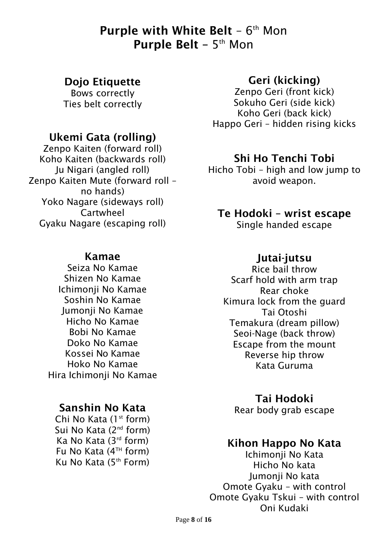## **Purple with White Belt -**  $6<sup>th</sup>$  **Mon Purple Belt** –  $5<sup>th</sup>$  Mon

#### Dojo Etiquette

Bows correctly Ties belt correctly

#### Ukemi Gata (rolling)

Zenpo Kaiten (forward roll) Koho Kaiten (backwards roll) Ju Nigari (angled roll) Zenpo Kaiten Mute (forward roll – no hands) Yoko Nagare (sideways roll) Cartwheel Gyaku Nagare (escaping roll)

#### Kamae

Seiza No Kamae Shizen No Kamae Ichimonji No Kamae Soshin No Kamae Jumonji No Kamae Hicho No Kamae Bobi No Kamae Doko No Kamae Kossei No Kamae Hoko No Kamae Hira Ichimonji No Kamae

#### Sanshin No Kata

Chi No Kata  $(1<sup>st</sup>$  form) Sui No Kata (2nd form) Ka No Kata (3rd form) Fu No Kata (4<sup>TH</sup> form) Ku No Kata (5th Form)

#### Geri (kicking)

Zenpo Geri (front kick) Sokuho Geri (side kick) Koho Geri (back kick) Happo Geri – hidden rising kicks

#### Shi Ho Tenchi Tobi

Hicho Tobi – high and low jump to avoid weapon.

#### Te Hodoki – wrist escape

Single handed escape

#### Jutai-jutsu

Rice bail throw Scarf hold with arm trap Rear choke Kimura lock from the guard Tai Otoshi Temakura (dream pillow) Seoi-Nage (back throw) Escape from the mount Reverse hip throw Kata Guruma

Tai Hodoki Rear body grab escape

#### Kihon Happo No Kata

Ichimonji No Kata Hicho No kata Jumonji No kata Omote Gyaku – with control Omote Gyaku Tskui – with control Oni Kudaki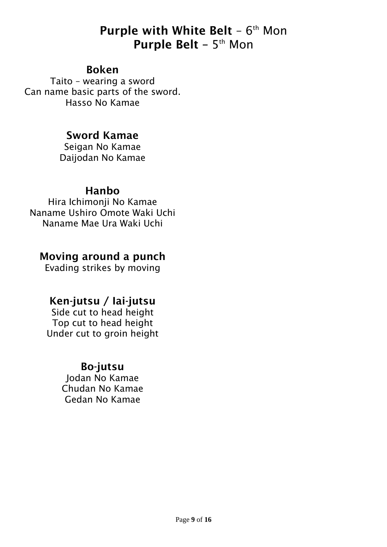## **Purple with White Belt -**  $6<sup>th</sup>$  **Mon Purple Belt** –  $5<sup>th</sup>$  Mon

#### Boken

Taito – wearing a sword Can name basic parts of the sword. Hasso No Kamae

#### Sword Kamae

Seigan No Kamae Daijodan No Kamae

#### Hanbo

Hira Ichimonji No Kamae Naname Ushiro Omote Waki Uchi Naname Mae Ura Waki Uchi

#### Moving around a punch

Evading strikes by moving

### Ken-jutsu / Iai-jutsu

Side cut to head height Top cut to head height Under cut to groin height

### Bo-jutsu

Jodan No Kamae Chudan No Kamae Gedan No Kamae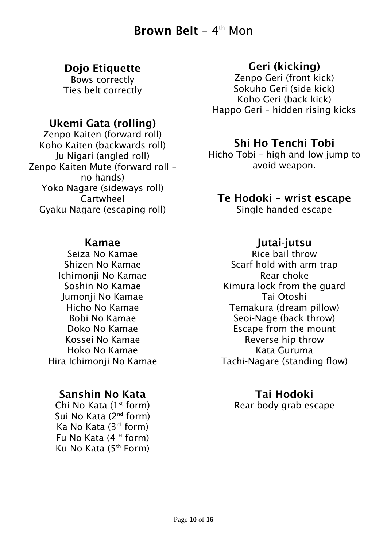## **Brown Belt** –  $4<sup>th</sup>$  Mon

### Dojo Etiquette

Bows correctly Ties belt correctly

### Ukemi Gata (rolling)

Zenpo Kaiten (forward roll) Koho Kaiten (backwards roll) Ju Nigari (angled roll) Zenpo Kaiten Mute (forward roll – no hands) Yoko Nagare (sideways roll) Cartwheel Gyaku Nagare (escaping roll)

#### Kamae

Seiza No Kamae Shizen No Kamae Ichimonji No Kamae Soshin No Kamae Jumonji No Kamae Hicho No Kamae Bobi No Kamae Doko No Kamae Kossei No Kamae Hoko No Kamae Hira Ichimonji No Kamae

### Sanshin No Kata

Chi No Kata (1<sup>st</sup> form) Sui No Kata (2<sup>nd</sup> form) Ka No Kata (3rd form) Fu No Kata  $(4^{TH}$  form) Ku No Kata (5th Form)

### Geri (kicking)

Zenpo Geri (front kick) Sokuho Geri (side kick) Koho Geri (back kick) Happo Geri – hidden rising kicks

### Shi Ho Tenchi Tobi

Hicho Tobi – high and low jump to avoid weapon.

### Te Hodoki – wrist escape

Single handed escape

#### Jutai-jutsu

Rice bail throw Scarf hold with arm trap Rear choke Kimura lock from the guard Tai Otoshi Temakura (dream pillow) Seoi-Nage (back throw) Escape from the mount Reverse hip throw Kata Guruma Tachi-Nagare (standing flow)

#### Tai Hodoki

Rear body grab escape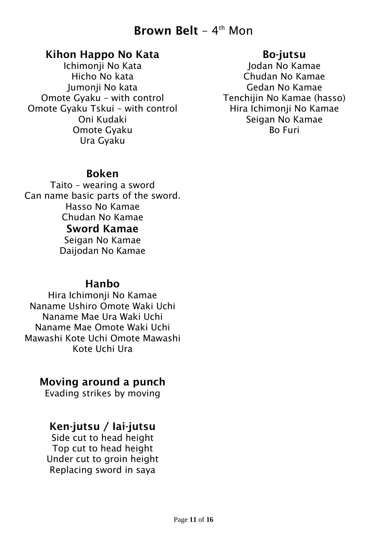## **Brown Belt** –  $4<sup>th</sup>$  Mon

#### Kihon Happo No Kata

Ichimonji No Kata Hicho No kata Jumonji No kata Omote Gyaku – with control Omote Gyaku Tskui – with control Oni Kudaki Omote Gyaku Ura Gyaku

#### Bo-jutsu

Jodan No Kamae Chudan No Kamae Gedan No Kamae Tenchijin No Kamae (hasso) Hira Ichimonji No Kamae Seigan No Kamae Bo Furi

#### Boken

Taito – wearing a sword Can name basic parts of the sword. Hasso No Kamae Chudan No Kamae Sword Kamae Seigan No Kamae Daijodan No Kamae

#### Hanbo

Hira Ichimonii No Kamae Naname Ushiro Omote Waki Uchi Naname Mae Ura Waki Uchi Naname Mae Omote Waki Uchi Mawashi Kote Uchi Omote Mawashi Kote Uchi Ura

### Moving around a punch

Evading strikes by moving

### Ken-jutsu / Iai-jutsu

Side cut to head height Top cut to head height Under cut to groin height Replacing sword in saya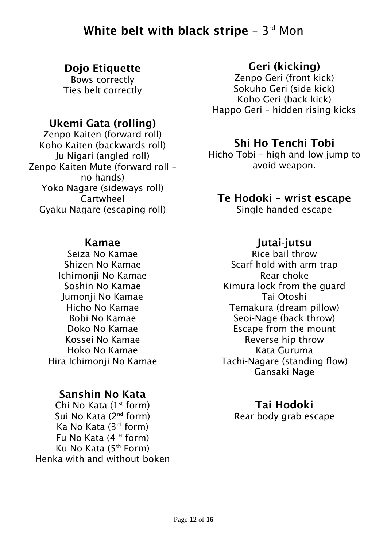## White belt with black stripe –  $3^{\mathsf{rd}}$  Mon

### Dojo Etiquette

Bows correctly Ties belt correctly

### Ukemi Gata (rolling)

Zenpo Kaiten (forward roll) Koho Kaiten (backwards roll) Ju Nigari (angled roll) Zenpo Kaiten Mute (forward roll – no hands) Yoko Nagare (sideways roll) Cartwheel Gyaku Nagare (escaping roll)

#### Kamae

Seiza No Kamae Shizen No Kamae Ichimonji No Kamae Soshin No Kamae Jumonji No Kamae Hicho No Kamae Bobi No Kamae Doko No Kamae Kossei No Kamae Hoko No Kamae Hira Ichimonji No Kamae

### Sanshin No Kata

Chi No Kata  $(1<sup>st</sup>$  form) Sui No Kata (2nd form) Ka No Kata (3rd form) Fu No Kata  $(4^{TH}$  form) Ku No Kata (5th Form) Henka with and without boken

### Geri (kicking)

Zenpo Geri (front kick) Sokuho Geri (side kick) Koho Geri (back kick) Happo Geri – hidden rising kicks

### Shi Ho Tenchi Tobi

Hicho Tobi – high and low jump to avoid weapon.

### Te Hodoki – wrist escape

Single handed escape

#### Jutai-jutsu

Rice bail throw Scarf hold with arm trap Rear choke Kimura lock from the guard Tai Otoshi Temakura (dream pillow) Seoi-Nage (back throw) Escape from the mount Reverse hip throw Kata Guruma Tachi-Nagare (standing flow) Gansaki Nage

### Tai Hodoki

Rear body grab escape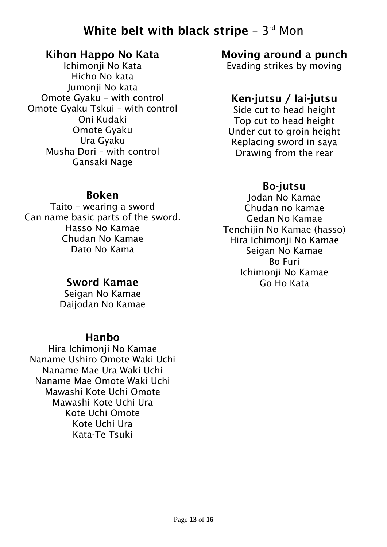## White belt with black stripe –  $3^{\mathsf{rd}}$  Mon

#### Kihon Happo No Kata

Ichimonji No Kata Hicho No kata Jumonji No kata Omote Gyaku – with control Omote Gyaku Tskui – with control Oni Kudaki Omote Gyaku Ura Gyaku Musha Dori – with control Gansaki Nage

### Moving around a punch

Evading strikes by moving

### Ken-jutsu / Iai-jutsu

Side cut to head height Top cut to head height Under cut to groin height Replacing sword in saya Drawing from the rear

## Bo-jutsu

Jodan No Kamae Chudan no kamae Gedan No Kamae Tenchijin No Kamae (hasso) Hira Ichimonji No Kamae Seigan No Kamae Bo Furi Ichimonji No Kamae Go Ho Kata

#### Boken

Taito – wearing a sword Can name basic parts of the sword. Hasso No Kamae Chudan No Kamae Dato No Kama

### Sword Kamae

Seigan No Kamae Daijodan No Kamae

#### Hanbo

Hira Ichimonji No Kamae Naname Ushiro Omote Waki Uchi Naname Mae Ura Waki Uchi Naname Mae Omote Waki Uchi Mawashi Kote Uchi Omote Mawashi Kote Uchi Ura Kote Uchi Omote Kote Uchi Ura Kata-Te Tsuki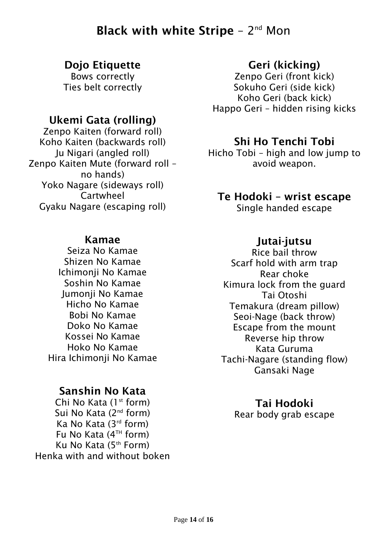## Black with white Stripe  $-2<sup>nd</sup>$  Mon

### Dojo Etiquette

Bows correctly Ties belt correctly

## Ukemi Gata (rolling)

Zenpo Kaiten (forward roll) Koho Kaiten (backwards roll) Ju Nigari (angled roll) Zenpo Kaiten Mute (forward roll – no hands) Yoko Nagare (sideways roll) Cartwheel Gyaku Nagare (escaping roll)

#### Kamae

Seiza No Kamae Shizen No Kamae Ichimonji No Kamae Soshin No Kamae Jumonji No Kamae Hicho No Kamae Bobi No Kamae Doko No Kamae Kossei No Kamae Hoko No Kamae Hira Ichimonji No Kamae

### Sanshin No Kata

Chi No Kata  $(1<sup>st</sup>$  form) Sui No Kata (2<sup>nd</sup> form) Ka No Kata (3rd form) Fu No Kata  $(4^{TH}$  form) Ku No Kata (5th Form) Henka with and without boken

### Geri (kicking)

Zenpo Geri (front kick) Sokuho Geri (side kick) Koho Geri (back kick) Happo Geri – hidden rising kicks

### Shi Ho Tenchi Tobi

Hicho Tobi – high and low jump to avoid weapon.

### Te Hodoki – wrist escape

Single handed escape

#### Jutai-jutsu

Rice bail throw Scarf hold with arm trap Rear choke Kimura lock from the guard Tai Otoshi Temakura (dream pillow) Seoi-Nage (back throw) Escape from the mount Reverse hip throw Kata Guruma Tachi-Nagare (standing flow) Gansaki Nage

### Tai Hodoki

Rear body grab escape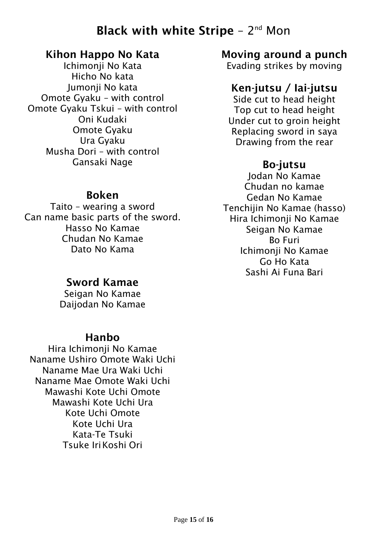## Black with white Stripe  $-2<sup>nd</sup>$  Mon

#### Kihon Happo No Kata

Ichimonji No Kata Hicho No kata Jumonji No kata Omote Gyaku – with control Omote Gyaku Tskui – with control Oni Kudaki Omote Gyaku Ura Gyaku Musha Dori – with control Gansaki Nage

### Moving around a punch

Evading strikes by moving

### Ken-jutsu / Iai-jutsu

Side cut to head height Top cut to head height Under cut to groin height Replacing sword in saya Drawing from the rear

### Bo-jutsu

Jodan No Kamae Chudan no kamae Gedan No Kamae Tenchijin No Kamae (hasso) Hira Ichimonji No Kamae Seigan No Kamae Bo Furi Ichimonji No Kamae Go Ho Kata Sashi Ai Funa Bari

#### Boken

Taito – wearing a sword Can name basic parts of the sword. Hasso No Kamae Chudan No Kamae Dato No Kama

### Sword Kamae

Seigan No Kamae Daijodan No Kamae

#### Hanbo

Hira Ichimonji No Kamae Naname Ushiro Omote Waki Uchi Naname Mae Ura Waki Uchi Naname Mae Omote Waki Uchi Mawashi Kote Uchi Omote Mawashi Kote Uchi Ura Kote Uchi Omote Kote Uchi Ura Kata-Te Tsuki Tsuke IriKoshi Ori